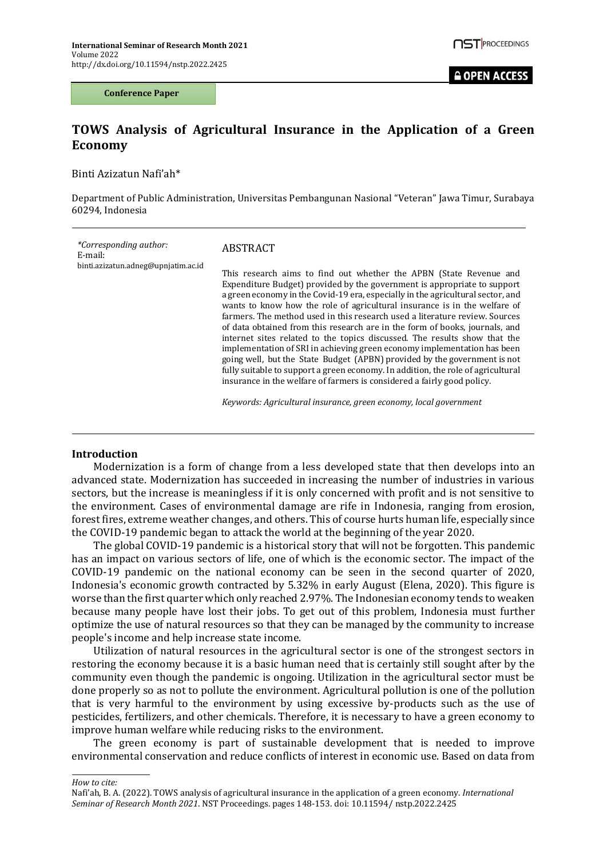**Conference Paper**

# **TOWS Analysis of Agricultural Insurance in the Application of a Green Economy**

Binti Azizatun Nafi'ah\*

Department of Public Administration, Universitas Pembangunan Nasional "Veteran" Jawa Timur, Surabaya 60294, Indonesia

| <i>*Corresponding author:</i><br>E-mail:<br>binti.azizatun.adneg@upnjatim.ac.id | ABSTRACT                                                                                                                                                                                                                                                                                                                                                                                                                                                                                                                                                                                                                                                                                                                                                                                                                                                                          |
|---------------------------------------------------------------------------------|-----------------------------------------------------------------------------------------------------------------------------------------------------------------------------------------------------------------------------------------------------------------------------------------------------------------------------------------------------------------------------------------------------------------------------------------------------------------------------------------------------------------------------------------------------------------------------------------------------------------------------------------------------------------------------------------------------------------------------------------------------------------------------------------------------------------------------------------------------------------------------------|
|                                                                                 | This research aims to find out whether the APBN (State Revenue and<br>Expenditure Budget) provided by the government is appropriate to support<br>a green economy in the Covid-19 era, especially in the agricultural sector, and<br>wants to know how the role of agricultural insurance is in the welfare of<br>farmers. The method used in this research used a literature review. Sources<br>of data obtained from this research are in the form of books, journals, and<br>internet sites related to the topics discussed. The results show that the<br>implementation of SRI in achieving green economy implementation has been<br>going well, but the State Budget (APBN) provided by the government is not<br>fully suitable to support a green economy. In addition, the role of agricultural<br>insurance in the welfare of farmers is considered a fairly good policy. |
|                                                                                 | Keywords: Agricultural insurance, green economy, local government                                                                                                                                                                                                                                                                                                                                                                                                                                                                                                                                                                                                                                                                                                                                                                                                                 |

#### **Introduction**

Modernization is a form of change from a less developed state that then develops into an advanced state. Modernization has succeeded in increasing the number of industries in various sectors, but the increase is meaningless if it is only concerned with profit and is not sensitive to the environment. Cases of environmental damage are rife in Indonesia, ranging from erosion, forest fires, extreme weather changes, and others. This of course hurts human life, especially since the COVID-19 pandemic began to attack the world at the beginning of the year 2020.

The global COVID-19 pandemic is a historical story that will not be forgotten. This pandemic has an impact on various sectors of life, one of which is the economic sector. The impact of the COVID-19 pandemic on the national economy can be seen in the second quarter of 2020, Indonesia's economic growth contracted by 5.32% in early August (Elena, 2020). This figure is worse than the first quarter which only reached 2.97%. The Indonesian economy tends to weaken because many people have lost their jobs. To get out of this problem, Indonesia must further optimize the use of natural resources so that they can be managed by the community to increase people's income and help increase state income.

Utilization of natural resources in the agricultural sector is one of the strongest sectors in restoring the economy because it is a basic human need that is certainly still sought after by the community even though the pandemic is ongoing. Utilization in the agricultural sector must be done properly so as not to pollute the environment. Agricultural pollution is one of the pollution that is very harmful to the environment by using excessive by-products such as the use of pesticides, fertilizers, and other chemicals. Therefore, it is necessary to have a green economy to improve human welfare while reducing risks to the environment.

The green economy is part of sustainable development that is needed to improve environmental conservation and reduce conflicts of interest in economic use. Based on data from

*How to cite:*

Nafi'ah, B. A. (2022). TOWS analysis of agricultural insurance in the application of a green economy. *International Seminar of Research Month 2021*. NST Proceedings. pages 148-153. doi: 10.11594/ nstp.2022.2425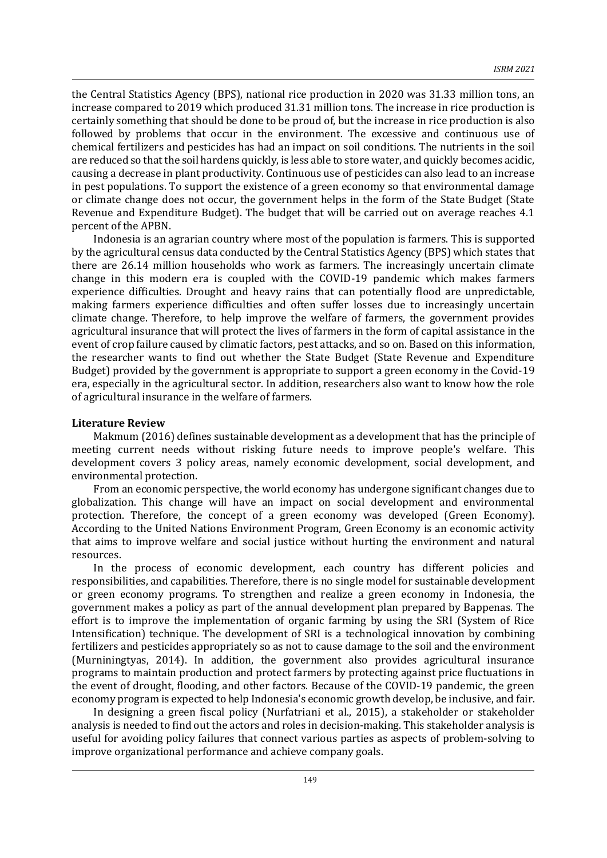the Central Statistics Agency (BPS), national rice production in 2020 was 31.33 million tons, an increase compared to 2019 which produced 31.31 million tons. The increase in rice production is certainly something that should be done to be proud of, but the increase in rice production is also followed by problems that occur in the environment. The excessive and continuous use of chemical fertilizers and pesticides has had an impact on soil conditions. The nutrients in the soil are reduced so that the soil hardens quickly, is less able to store water, and quickly becomes acidic, causing a decrease in plant productivity. Continuous use of pesticides can also lead to an increase in pest populations. To support the existence of a green economy so that environmental damage or climate change does not occur, the government helps in the form of the State Budget (State Revenue and Expenditure Budget). The budget that will be carried out on average reaches 4.1 percent of the APBN.

Indonesia is an agrarian country where most of the population is farmers. This is supported by the agricultural census data conducted by the Central Statistics Agency (BPS) which states that there are 26.14 million households who work as farmers. The increasingly uncertain climate change in this modern era is coupled with the COVID-19 pandemic which makes farmers experience difficulties. Drought and heavy rains that can potentially flood are unpredictable, making farmers experience difficulties and often suffer losses due to increasingly uncertain climate change. Therefore, to help improve the welfare of farmers, the government provides agricultural insurance that will protect the lives of farmers in the form of capital assistance in the event of crop failure caused by climatic factors, pest attacks, and so on. Based on this information, the researcher wants to find out whether the State Budget (State Revenue and Expenditure Budget) provided by the government is appropriate to support a green economy in the Covid-19 era, especially in the agricultural sector. In addition, researchers also want to know how the role of agricultural insurance in the welfare of farmers.

### **Literature Review**

Makmum (2016) defines sustainable development as a development that has the principle of meeting current needs without risking future needs to improve people's welfare. This development covers 3 policy areas, namely economic development, social development, and environmental protection.

From an economic perspective, the world economy has undergone significant changes due to globalization. This change will have an impact on social development and environmental protection. Therefore, the concept of a green economy was developed (Green Economy). According to the United Nations Environment Program, Green Economy is an economic activity that aims to improve welfare and social justice without hurting the environment and natural resources.

In the process of economic development, each country has different policies and responsibilities, and capabilities. Therefore, there is no single model for sustainable development or green economy programs. To strengthen and realize a green economy in Indonesia, the government makes a policy as part of the annual development plan prepared by Bappenas. The effort is to improve the implementation of organic farming by using the SRI (System of Rice Intensification) technique. The development of SRI is a technological innovation by combining fertilizers and pesticides appropriately so as not to cause damage to the soil and the environment (Murniningtyas, 2014). In addition, the government also provides agricultural insurance programs to maintain production and protect farmers by protecting against price fluctuations in the event of drought, flooding, and other factors. Because of the COVID-19 pandemic, the green economy program is expected to help Indonesia's economic growth develop, be inclusive, and fair.

In designing a green fiscal policy (Nurfatriani et al., 2015), a stakeholder or stakeholder analysis is needed to find out the actors and roles in decision-making. This stakeholder analysis is useful for avoiding policy failures that connect various parties as aspects of problem-solving to improve organizational performance and achieve company goals.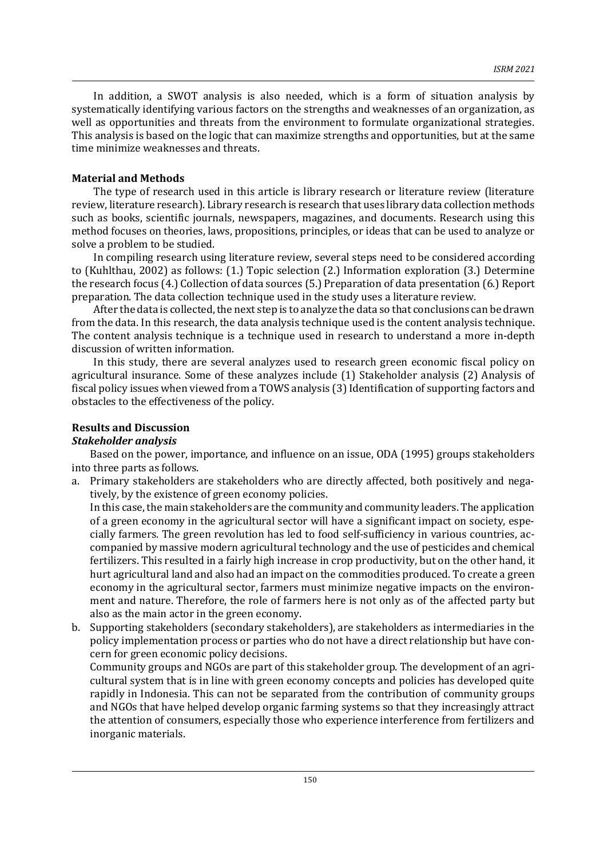In addition, a SWOT analysis is also needed, which is a form of situation analysis by systematically identifying various factors on the strengths and weaknesses of an organization, as well as opportunities and threats from the environment to formulate organizational strategies. This analysis is based on the logic that can maximize strengths and opportunities, but at the same time minimize weaknesses and threats.

## **Material and Methods**

The type of research used in this article is library research or literature review (literature review, literature research). Library research is research that uses library data collection methods such as books, scientific journals, newspapers, magazines, and documents. Research using this method focuses on theories, laws, propositions, principles, or ideas that can be used to analyze or solve a problem to be studied.

In compiling research using literature review, several steps need to be considered according to (Kuhlthau, 2002) as follows: (1.) Topic selection (2.) Information exploration (3.) Determine the research focus (4.) Collection of data sources (5.) Preparation of data presentation (6.) Report preparation. The data collection technique used in the study uses a literature review.

After the data is collected, the next step is to analyze the data so that conclusions can be drawn from the data. In this research, the data analysis technique used is the content analysis technique. The content analysis technique is a technique used in research to understand a more in-depth discussion of written information.

In this study, there are several analyzes used to research green economic fiscal policy on agricultural insurance. Some of these analyzes include (1) Stakeholder analysis (2) Analysis of fiscal policy issues when viewed from a TOWS analysis (3) Identification of supporting factors and obstacles to the effectiveness of the policy.

# **Results and Discussion**

# *Stakeholder analysis*

Based on the power, importance, and influence on an issue, ODA (1995) groups stakeholders into three parts as follows.

a. Primary stakeholders are stakeholders who are directly affected, both positively and negatively, by the existence of green economy policies.

In this case, the main stakeholders are the community and community leaders. The application of a green economy in the agricultural sector will have a significant impact on society, especially farmers. The green revolution has led to food self-sufficiency in various countries, accompanied by massive modern agricultural technology and the use of pesticides and chemical fertilizers. This resulted in a fairly high increase in crop productivity, but on the other hand, it hurt agricultural land and also had an impact on the commodities produced. To create a green economy in the agricultural sector, farmers must minimize negative impacts on the environment and nature. Therefore, the role of farmers here is not only as of the affected party but also as the main actor in the green economy.

b. Supporting stakeholders (secondary stakeholders), are stakeholders as intermediaries in the policy implementation process or parties who do not have a direct relationship but have concern for green economic policy decisions.

Community groups and NGOs are part of this stakeholder group. The development of an agricultural system that is in line with green economy concepts and policies has developed quite rapidly in Indonesia. This can not be separated from the contribution of community groups and NGOs that have helped develop organic farming systems so that they increasingly attract the attention of consumers, especially those who experience interference from fertilizers and inorganic materials.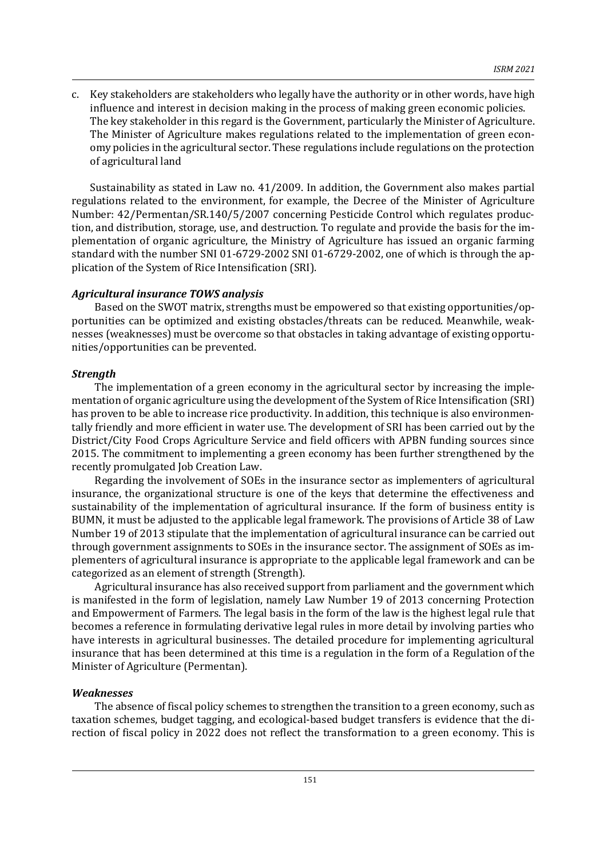c. Key stakeholders are stakeholders who legally have the authority or in other words, have high influence and interest in decision making in the process of making green economic policies. The key stakeholder in this regard is the Government, particularly the Minister of Agriculture. The Minister of Agriculture makes regulations related to the implementation of green economy policies in the agricultural sector. These regulations include regulations on the protection of agricultural land

Sustainability as stated in Law no. 41/2009. In addition, the Government also makes partial regulations related to the environment, for example, the Decree of the Minister of Agriculture Number: 42/Permentan/SR.140/5/2007 concerning Pesticide Control which regulates production, and distribution, storage, use, and destruction. To regulate and provide the basis for the implementation of organic agriculture, the Ministry of Agriculture has issued an organic farming standard with the number SNI 01-6729-2002 SNI 01-6729-2002, one of which is through the application of the System of Rice Intensification (SRI).

### *Agricultural insurance TOWS analysis*

Based on the SWOT matrix, strengths must be empowered so that existing opportunities/opportunities can be optimized and existing obstacles/threats can be reduced. Meanwhile, weaknesses (weaknesses) must be overcome so that obstacles in taking advantage of existing opportunities/opportunities can be prevented.

### *Strength*

The implementation of a green economy in the agricultural sector by increasing the implementation of organic agriculture using the development of the System of Rice Intensification (SRI) has proven to be able to increase rice productivity. In addition, this technique is also environmentally friendly and more efficient in water use. The development of SRI has been carried out by the District/City Food Crops Agriculture Service and field officers with APBN funding sources since 2015. The commitment to implementing a green economy has been further strengthened by the recently promulgated Job Creation Law.

Regarding the involvement of SOEs in the insurance sector as implementers of agricultural insurance, the organizational structure is one of the keys that determine the effectiveness and sustainability of the implementation of agricultural insurance. If the form of business entity is BUMN, it must be adjusted to the applicable legal framework. The provisions of Article 38 of Law Number 19 of 2013 stipulate that the implementation of agricultural insurance can be carried out through government assignments to SOEs in the insurance sector. The assignment of SOEs as implementers of agricultural insurance is appropriate to the applicable legal framework and can be categorized as an element of strength (Strength).

Agricultural insurance has also received support from parliament and the government which is manifested in the form of legislation, namely Law Number 19 of 2013 concerning Protection and Empowerment of Farmers. The legal basis in the form of the law is the highest legal rule that becomes a reference in formulating derivative legal rules in more detail by involving parties who have interests in agricultural businesses. The detailed procedure for implementing agricultural insurance that has been determined at this time is a regulation in the form of a Regulation of the Minister of Agriculture (Permentan).

### *Weaknesses*

The absence of fiscal policy schemes to strengthen the transition to a green economy, such as taxation schemes, budget tagging, and ecological-based budget transfers is evidence that the direction of fiscal policy in 2022 does not reflect the transformation to a green economy. This is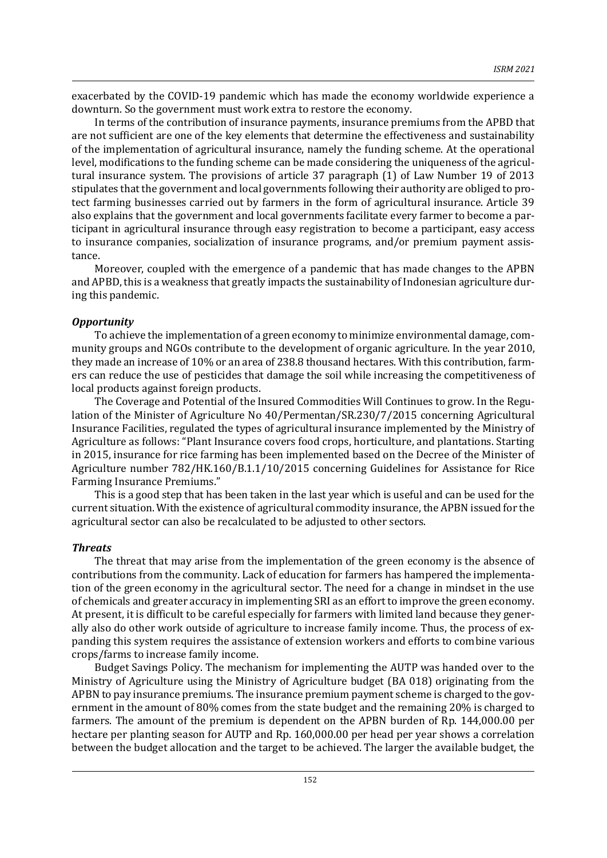exacerbated by the COVID-19 pandemic which has made the economy worldwide experience a downturn. So the government must work extra to restore the economy.

In terms of the contribution of insurance payments, insurance premiums from the APBD that are not sufficient are one of the key elements that determine the effectiveness and sustainability of the implementation of agricultural insurance, namely the funding scheme. At the operational level, modifications to the funding scheme can be made considering the uniqueness of the agricultural insurance system. The provisions of article 37 paragraph (1) of Law Number 19 of 2013 stipulates that the government and local governments following their authority are obliged to protect farming businesses carried out by farmers in the form of agricultural insurance. Article 39 also explains that the government and local governments facilitate every farmer to become a participant in agricultural insurance through easy registration to become a participant, easy access to insurance companies, socialization of insurance programs, and/or premium payment assistance.

Moreover, coupled with the emergence of a pandemic that has made changes to the APBN and APBD, this is a weakness that greatly impacts the sustainability of Indonesian agriculture during this pandemic.

### *Opportunity*

To achieve the implementation of a green economy to minimize environmental damage, community groups and NGOs contribute to the development of organic agriculture. In the year 2010, they made an increase of 10% or an area of 238.8 thousand hectares. With this contribution, farmers can reduce the use of pesticides that damage the soil while increasing the competitiveness of local products against foreign products.

The Coverage and Potential of the Insured Commodities Will Continues to grow. In the Regulation of the Minister of Agriculture No 40/Permentan/SR.230/7/2015 concerning Agricultural Insurance Facilities, regulated the types of agricultural insurance implemented by the Ministry of Agriculture as follows: "Plant Insurance covers food crops, horticulture, and plantations. Starting in 2015, insurance for rice farming has been implemented based on the Decree of the Minister of Agriculture number 782/HK.160/B.1.1/10/2015 concerning Guidelines for Assistance for Rice Farming Insurance Premiums."

This is a good step that has been taken in the last year which is useful and can be used for the current situation. With the existence of agricultural commodity insurance, the APBN issued for the agricultural sector can also be recalculated to be adjusted to other sectors.

#### *Threats*

The threat that may arise from the implementation of the green economy is the absence of contributions from the community. Lack of education for farmers has hampered the implementation of the green economy in the agricultural sector. The need for a change in mindset in the use of chemicals and greater accuracy in implementing SRI as an effort to improve the green economy. At present, it is difficult to be careful especially for farmers with limited land because they generally also do other work outside of agriculture to increase family income. Thus, the process of expanding this system requires the assistance of extension workers and efforts to combine various crops/farms to increase family income.

Budget Savings Policy. The mechanism for implementing the AUTP was handed over to the Ministry of Agriculture using the Ministry of Agriculture budget (BA 018) originating from the APBN to pay insurance premiums. The insurance premium payment scheme is charged to the government in the amount of 80% comes from the state budget and the remaining 20% is charged to farmers. The amount of the premium is dependent on the APBN burden of Rp. 144,000.00 per hectare per planting season for AUTP and Rp. 160,000.00 per head per year shows a correlation between the budget allocation and the target to be achieved. The larger the available budget, the